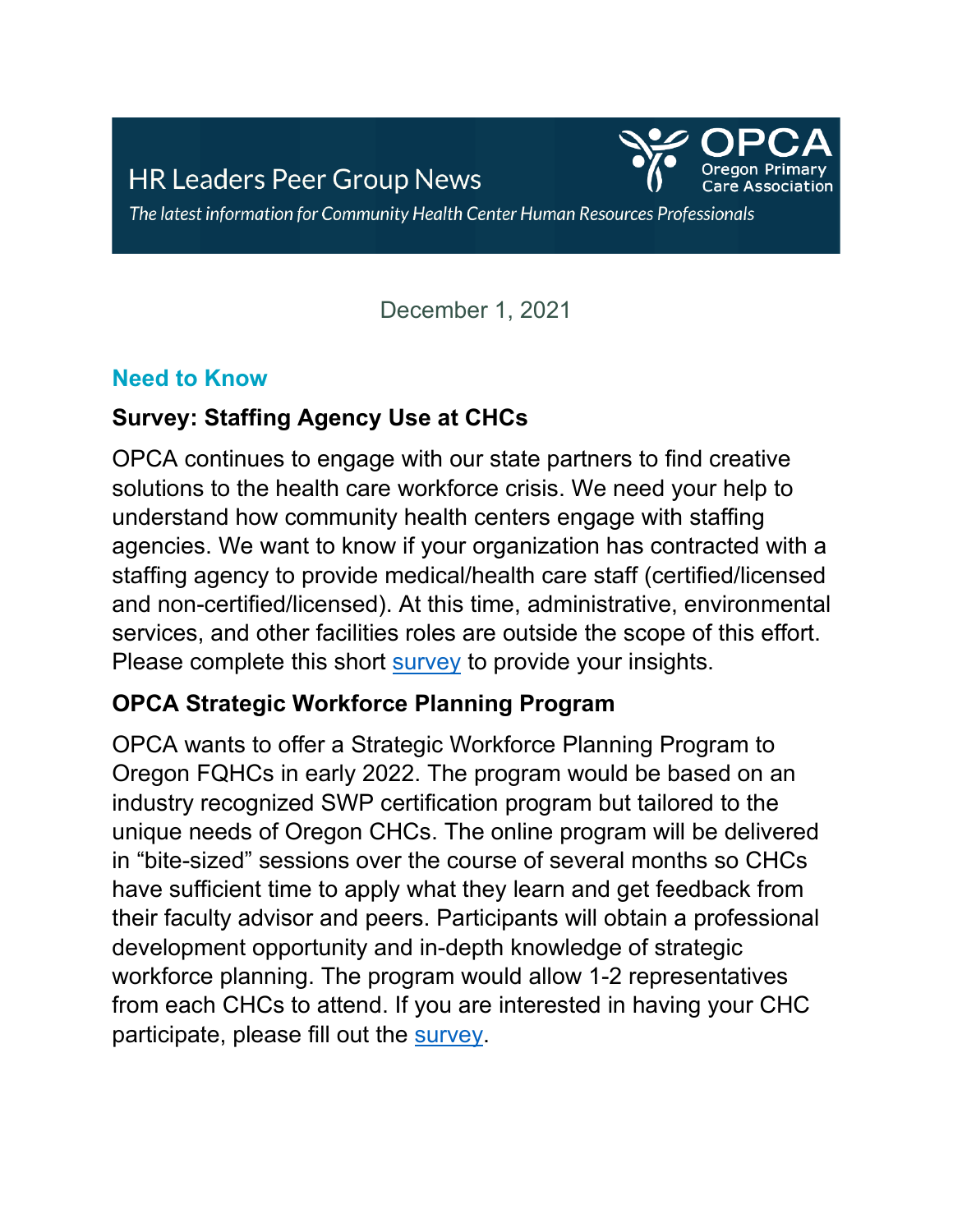

The latest information for Community Health Center Human Resources Professionals

December 1, 2021

#### **Need to Know**

## **Survey: Staffing Agency Use at CHCs**

OPCA continues to engage with our state partners to find creative solutions to the health care workforce crisis. We need your help to understand how community health centers engage with staffing agencies. We want to know if your organization has contracted with a staffing agency to provide medical/health care staff (certified/licensed and non-certified/licensed). At this time, administrative, environmental services, and other facilities roles are outside the scope of this effort. Please complete this short [survey](https://forms.office.com/Pages/ResponsePage.aspx?id=2jvRxJh6-kaZC1_igLcly0hZZV3gPttJvXhy23DaaEhUQjlBUjY3Qk5DQk1GUzRJV1hJUDlHWVlKRi4u) to provide your insights.

### **OPCA Strategic Workforce Planning Program**

OPCA wants to offer a Strategic Workforce Planning Program to Oregon FQHCs in early 2022. The program would be based on an industry recognized SWP certification program but tailored to the unique needs of Oregon CHCs. The online program will be delivered in "bite-sized" sessions over the course of several months so CHCs have sufficient time to apply what they learn and get feedback from their faculty advisor and peers. Participants will obtain a professional development opportunity and in-depth knowledge of strategic workforce planning. The program would allow 1-2 representatives from each CHCs to attend. If you are interested in having your CHC participate, please fill out the [survey.](https://docs.google.com/forms/d/e/1FAIpQLSdn8myVjrB2cBtTHe96_MQedXx6lbC0__I2DF8z9WLNCXpaeQ/viewform?usp=sf_link)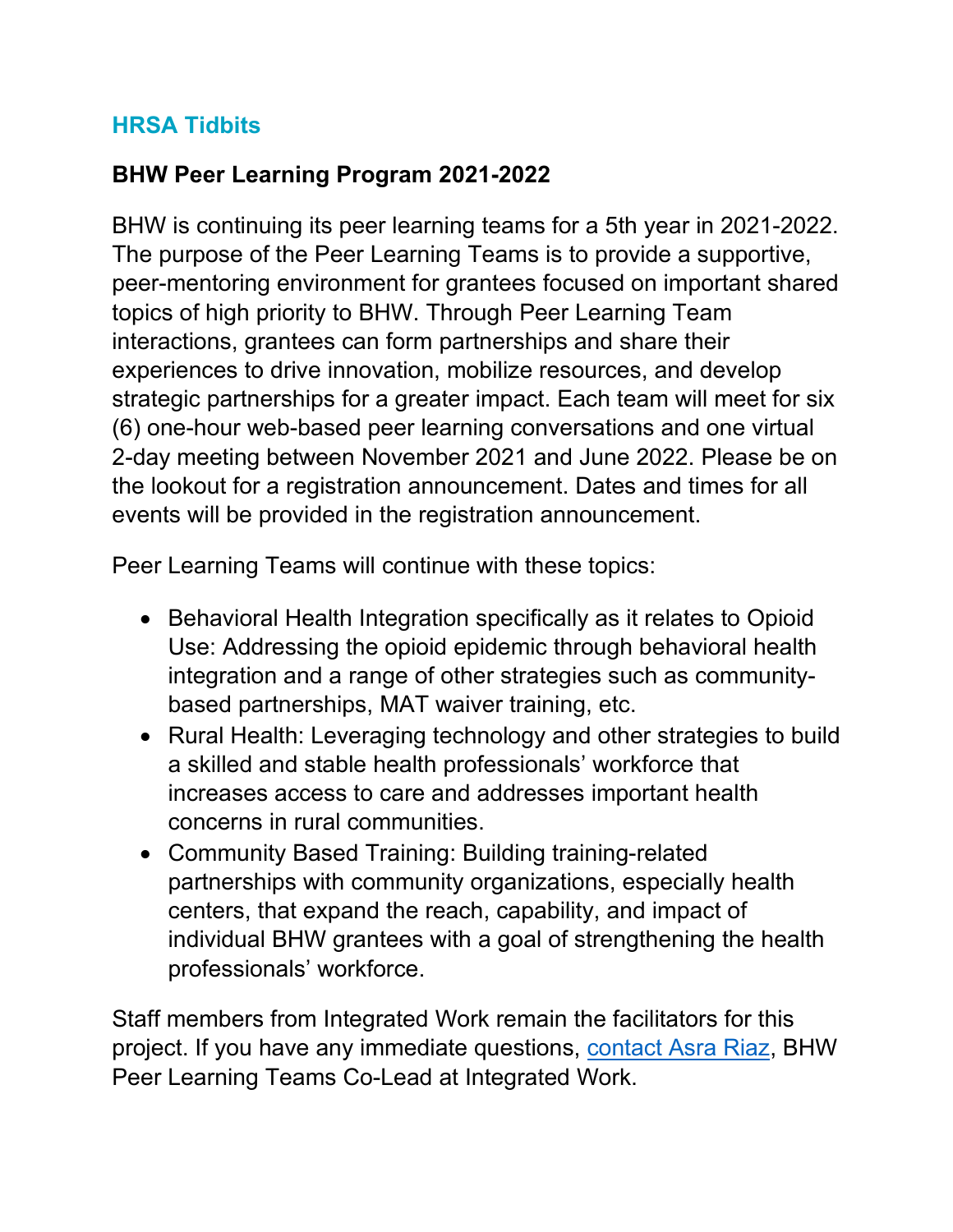## **HRSA Tidbits**

# **BHW Peer Learning Program 2021-2022**

BHW is continuing its peer learning teams for a 5th year in 2021-2022. The purpose of the Peer Learning Teams is to provide a supportive, peer-mentoring environment for grantees focused on important shared topics of high priority to BHW. Through Peer Learning Team interactions, grantees can form partnerships and share their experiences to drive innovation, mobilize resources, and develop strategic partnerships for a greater impact. Each team will meet for six (6) one-hour web-based peer learning conversations and one virtual 2-day meeting between November 2021 and June 2022. Please be on the lookout for a registration announcement. Dates and times for all events will be provided in the registration announcement.

Peer Learning Teams will continue with these topics:

- Behavioral Health Integration specifically as it relates to Opioid Use: Addressing the opioid epidemic through behavioral health integration and a range of other strategies such as communitybased partnerships, MAT waiver training, etc.
- Rural Health: Leveraging technology and other strategies to build a skilled and stable health professionals' workforce that increases access to care and addresses important health concerns in rural communities.
- Community Based Training: Building training-related partnerships with community organizations, especially health centers, that expand the reach, capability, and impact of individual BHW grantees with a goal of strengthening the health professionals' workforce.

Staff members from Integrated Work remain the facilitators for this project. If you have any immediate questions, [contact Asra Riaz,](mailto:asra@integratedwork.com) BHW Peer Learning Teams Co-Lead at Integrated Work.